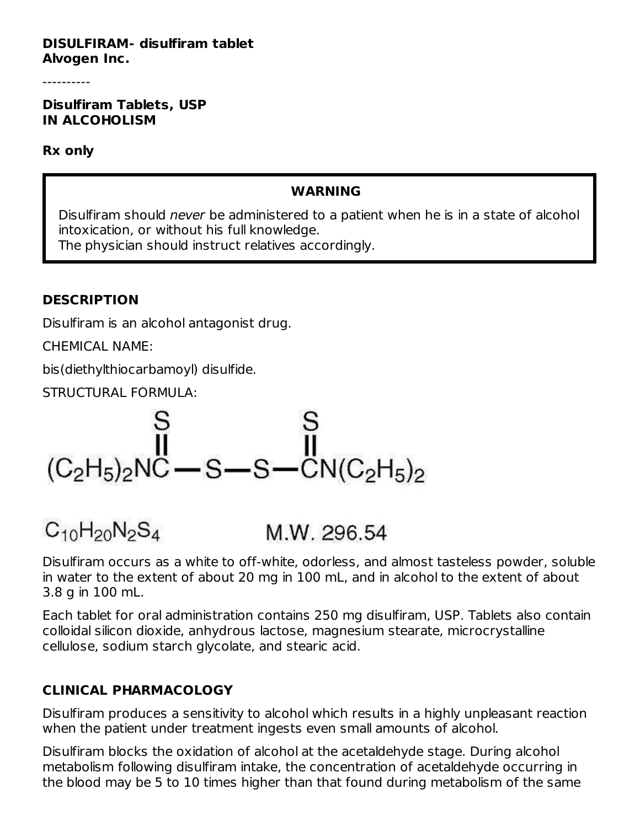#### **DISULFIRAM- disulfiram tablet Alvogen Inc.**

----------

**Disulfiram Tablets, USP IN ALCOHOLISM**

**Rx only**

#### **WARNING**

Disulfiram should never be administered to a patient when he is in a state of alcohol intoxication, or without his full knowledge. The physician should instruct relatives accordingly.

#### **DESCRIPTION**

Disulfiram is an alcohol antagonist drug.

CHEMICAL NAME:

bis(diethylthiocarbamoyl) disulfide.

STRUCTURAL FORMULA:



 $C_{10}H_{20}N_2S_4$ M.W. 296.54

Disulfiram occurs as a white to off-white, odorless, and almost tasteless powder, soluble in water to the extent of about 20 mg in 100 mL, and in alcohol to the extent of about 3.8 g in 100 mL.

Each tablet for oral administration contains 250 mg disulfiram, USP. Tablets also contain colloidal silicon dioxide, anhydrous lactose, magnesium stearate, microcrystalline cellulose, sodium starch glycolate, and stearic acid.

#### **CLINICAL PHARMACOLOGY**

Disulfiram produces a sensitivity to alcohol which results in a highly unpleasant reaction when the patient under treatment ingests even small amounts of alcohol.

Disulfiram blocks the oxidation of alcohol at the acetaldehyde stage. During alcohol metabolism following disulfiram intake, the concentration of acetaldehyde occurring in the blood may be 5 to 10 times higher than that found during metabolism of the same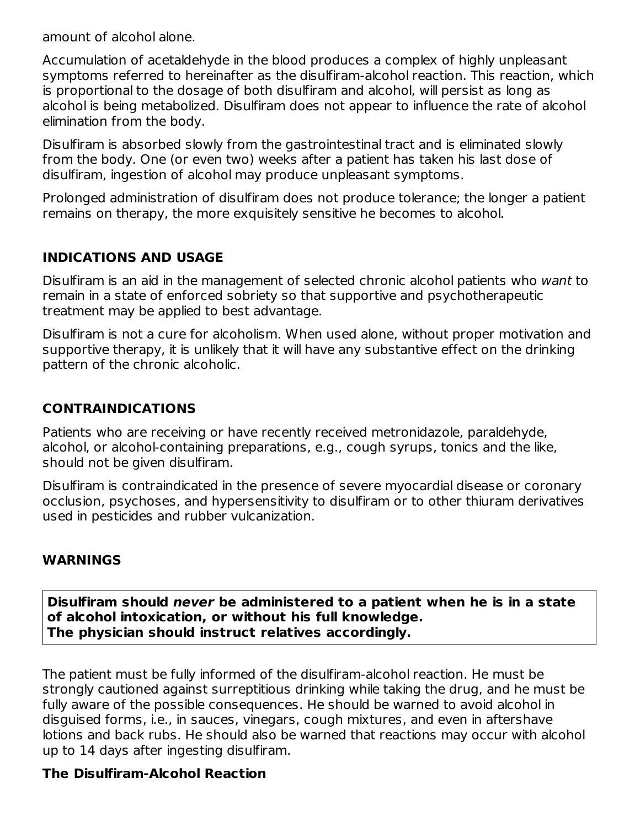amount of alcohol alone.

Accumulation of acetaldehyde in the blood produces a complex of highly unpleasant symptoms referred to hereinafter as the disulfiram-alcohol reaction. This reaction, which is proportional to the dosage of both disulfiram and alcohol, will persist as long as alcohol is being metabolized. Disulfiram does not appear to influence the rate of alcohol elimination from the body.

Disulfiram is absorbed slowly from the gastrointestinal tract and is eliminated slowly from the body. One (or even two) weeks after a patient has taken his last dose of disulfiram, ingestion of alcohol may produce unpleasant symptoms.

Prolonged administration of disulfiram does not produce tolerance; the longer a patient remains on therapy, the more exquisitely sensitive he becomes to alcohol.

# **INDICATIONS AND USAGE**

Disulfiram is an aid in the management of selected chronic alcohol patients who want to remain in a state of enforced sobriety so that supportive and psychotherapeutic treatment may be applied to best advantage.

Disulfiram is not a cure for alcoholism. When used alone, without proper motivation and supportive therapy, it is unlikely that it will have any substantive effect on the drinking pattern of the chronic alcoholic.

# **CONTRAINDICATIONS**

Patients who are receiving or have recently received metronidazole, paraldehyde, alcohol, or alcohol-containing preparations, e.g., cough syrups, tonics and the like, should not be given disulfiram.

Disulfiram is contraindicated in the presence of severe myocardial disease or coronary occlusion, psychoses, and hypersensitivity to disulfiram or to other thiuram derivatives used in pesticides and rubber vulcanization.

#### **WARNINGS**

**Disulfiram should never be administered to a patient when he is in a state of alcohol intoxication, or without his full knowledge. The physician should instruct relatives accordingly.**

The patient must be fully informed of the disulfiram-alcohol reaction. He must be strongly cautioned against surreptitious drinking while taking the drug, and he must be fully aware of the possible consequences. He should be warned to avoid alcohol in disguised forms, i.e., in sauces, vinegars, cough mixtures, and even in aftershave lotions and back rubs. He should also be warned that reactions may occur with alcohol up to 14 days after ingesting disulfiram.

# **The Disulfiram-Alcohol Reaction**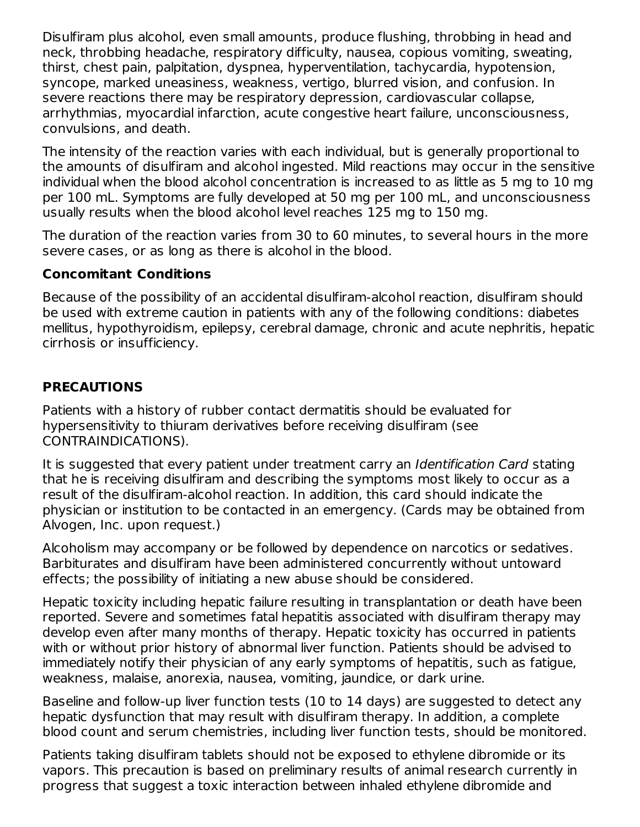Disulfiram plus alcohol, even small amounts, produce flushing, throbbing in head and neck, throbbing headache, respiratory difficulty, nausea, copious vomiting, sweating, thirst, chest pain, palpitation, dyspnea, hyperventilation, tachycardia, hypotension, syncope, marked uneasiness, weakness, vertigo, blurred vision, and confusion. In severe reactions there may be respiratory depression, cardiovascular collapse, arrhythmias, myocardial infarction, acute congestive heart failure, unconsciousness, convulsions, and death.

The intensity of the reaction varies with each individual, but is generally proportional to the amounts of disulfiram and alcohol ingested. Mild reactions may occur in the sensitive individual when the blood alcohol concentration is increased to as little as 5 mg to 10 mg per 100 mL. Symptoms are fully developed at 50 mg per 100 mL, and unconsciousness usually results when the blood alcohol level reaches 125 mg to 150 mg.

The duration of the reaction varies from 30 to 60 minutes, to several hours in the more severe cases, or as long as there is alcohol in the blood.

## **Concomitant Conditions**

Because of the possibility of an accidental disulfiram-alcohol reaction, disulfiram should be used with extreme caution in patients with any of the following conditions: diabetes mellitus, hypothyroidism, epilepsy, cerebral damage, chronic and acute nephritis, hepatic cirrhosis or insufficiency.

# **PRECAUTIONS**

Patients with a history of rubber contact dermatitis should be evaluated for hypersensitivity to thiuram derivatives before receiving disulfiram (see CONTRAINDICATIONS).

It is suggested that every patient under treatment carry an Identification Card stating that he is receiving disulfiram and describing the symptoms most likely to occur as a result of the disulfiram-alcohol reaction. In addition, this card should indicate the physician or institution to be contacted in an emergency. (Cards may be obtained from Alvogen, Inc. upon request.)

Alcoholism may accompany or be followed by dependence on narcotics or sedatives. Barbiturates and disulfiram have been administered concurrently without untoward effects; the possibility of initiating a new abuse should be considered.

Hepatic toxicity including hepatic failure resulting in transplantation or death have been reported. Severe and sometimes fatal hepatitis associated with disulfiram therapy may develop even after many months of therapy. Hepatic toxicity has occurred in patients with or without prior history of abnormal liver function. Patients should be advised to immediately notify their physician of any early symptoms of hepatitis, such as fatigue, weakness, malaise, anorexia, nausea, vomiting, jaundice, or dark urine.

Baseline and follow-up liver function tests (10 to 14 days) are suggested to detect any hepatic dysfunction that may result with disulfiram therapy. In addition, a complete blood count and serum chemistries, including liver function tests, should be monitored.

Patients taking disulfiram tablets should not be exposed to ethylene dibromide or its vapors. This precaution is based on preliminary results of animal research currently in progress that suggest a toxic interaction between inhaled ethylene dibromide and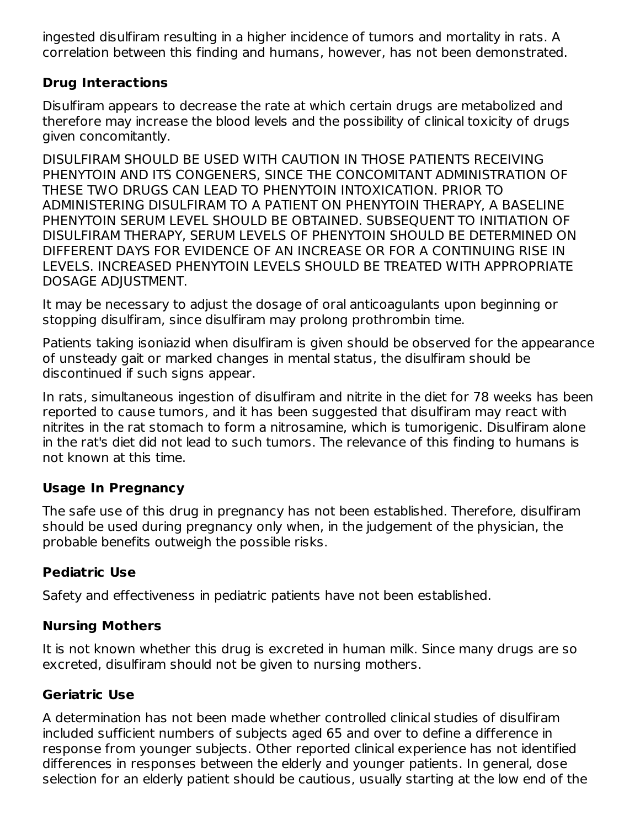ingested disulfiram resulting in a higher incidence of tumors and mortality in rats. A correlation between this finding and humans, however, has not been demonstrated.

## **Drug Interactions**

Disulfiram appears to decrease the rate at which certain drugs are metabolized and therefore may increase the blood levels and the possibility of clinical toxicity of drugs given concomitantly.

DISULFIRAM SHOULD BE USED WITH CAUTION IN THOSE PATIENTS RECEIVING PHENYTOIN AND ITS CONGENERS, SINCE THE CONCOMITANT ADMINISTRATION OF THESE TWO DRUGS CAN LEAD TO PHENYTOIN INTOXICATION. PRIOR TO ADMINISTERING DISULFIRAM TO A PATIENT ON PHENYTOIN THERAPY, A BASELINE PHENYTOIN SERUM LEVEL SHOULD BE OBTAINED. SUBSEQUENT TO INITIATION OF DISULFIRAM THERAPY, SERUM LEVELS OF PHENYTOIN SHOULD BE DETERMINED ON DIFFERENT DAYS FOR EVIDENCE OF AN INCREASE OR FOR A CONTINUING RISE IN LEVELS. INCREASED PHENYTOIN LEVELS SHOULD BE TREATED WITH APPROPRIATE DOSAGE ADJUSTMENT.

It may be necessary to adjust the dosage of oral anticoagulants upon beginning or stopping disulfiram, since disulfiram may prolong prothrombin time.

Patients taking isoniazid when disulfiram is given should be observed for the appearance of unsteady gait or marked changes in mental status, the disulfiram should be discontinued if such signs appear.

In rats, simultaneous ingestion of disulfiram and nitrite in the diet for 78 weeks has been reported to cause tumors, and it has been suggested that disulfiram may react with nitrites in the rat stomach to form a nitrosamine, which is tumorigenic. Disulfiram alone in the rat's diet did not lead to such tumors. The relevance of this finding to humans is not known at this time.

# **Usage In Pregnancy**

The safe use of this drug in pregnancy has not been established. Therefore, disulfiram should be used during pregnancy only when, in the judgement of the physician, the probable benefits outweigh the possible risks.

# **Pediatric Use**

Safety and effectiveness in pediatric patients have not been established.

#### **Nursing Mothers**

It is not known whether this drug is excreted in human milk. Since many drugs are so excreted, disulfiram should not be given to nursing mothers.

#### **Geriatric Use**

A determination has not been made whether controlled clinical studies of disulfiram included sufficient numbers of subjects aged 65 and over to define a difference in response from younger subjects. Other reported clinical experience has not identified differences in responses between the elderly and younger patients. In general, dose selection for an elderly patient should be cautious, usually starting at the low end of the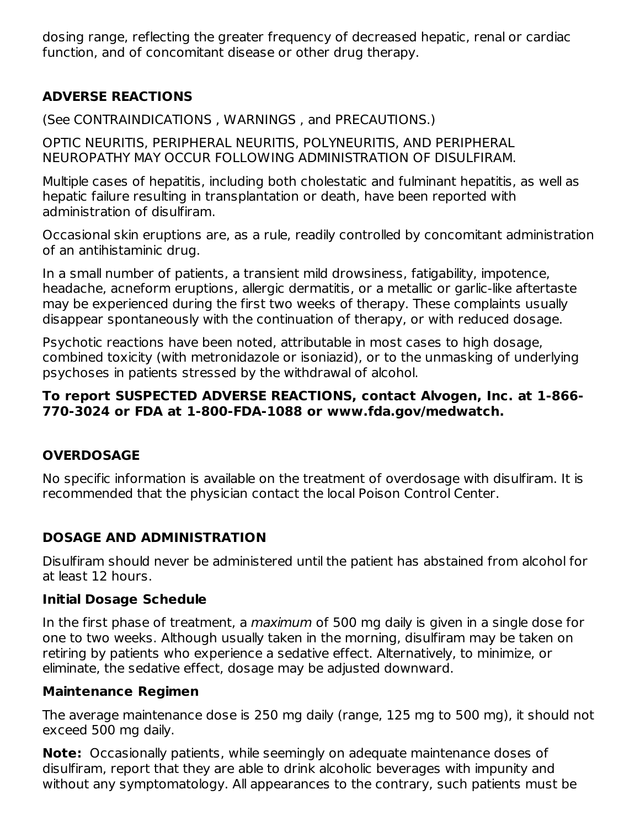dosing range, reflecting the greater frequency of decreased hepatic, renal or cardiac function, and of concomitant disease or other drug therapy.

# **ADVERSE REACTIONS**

(See CONTRAINDICATIONS , WARNINGS , and PRECAUTIONS.)

OPTIC NEURITIS, PERIPHERAL NEURITIS, POLYNEURITIS, AND PERIPHERAL NEUROPATHY MAY OCCUR FOLLOWING ADMINISTRATION OF DISULFIRAM.

Multiple cases of hepatitis, including both cholestatic and fulminant hepatitis, as well as hepatic failure resulting in transplantation or death, have been reported with administration of disulfiram.

Occasional skin eruptions are, as a rule, readily controlled by concomitant administration of an antihistaminic drug.

In a small number of patients, a transient mild drowsiness, fatigability, impotence, headache, acneform eruptions, allergic dermatitis, or a metallic or garlic-like aftertaste may be experienced during the first two weeks of therapy. These complaints usually disappear spontaneously with the continuation of therapy, or with reduced dosage.

Psychotic reactions have been noted, attributable in most cases to high dosage, combined toxicity (with metronidazole or isoniazid), or to the unmasking of underlying psychoses in patients stressed by the withdrawal of alcohol.

#### **To report SUSPECTED ADVERSE REACTIONS, contact Alvogen, Inc. at 1-866- 770-3024 or FDA at 1-800-FDA-1088 or www.fda.gov/medwatch.**

# **OVERDOSAGE**

No specific information is available on the treatment of overdosage with disulfiram. It is recommended that the physician contact the local Poison Control Center.

# **DOSAGE AND ADMINISTRATION**

Disulfiram should never be administered until the patient has abstained from alcohol for at least 12 hours.

# **Initial Dosage Schedule**

In the first phase of treatment, a *maximum* of 500 mg daily is given in a single dose for one to two weeks. Although usually taken in the morning, disulfiram may be taken on retiring by patients who experience a sedative effect. Alternatively, to minimize, or eliminate, the sedative effect, dosage may be adjusted downward.

#### **Maintenance Regimen**

The average maintenance dose is 250 mg daily (range, 125 mg to 500 mg), it should not exceed 500 mg daily.

**Note:** Occasionally patients, while seemingly on adequate maintenance doses of disulfiram, report that they are able to drink alcoholic beverages with impunity and without any symptomatology. All appearances to the contrary, such patients must be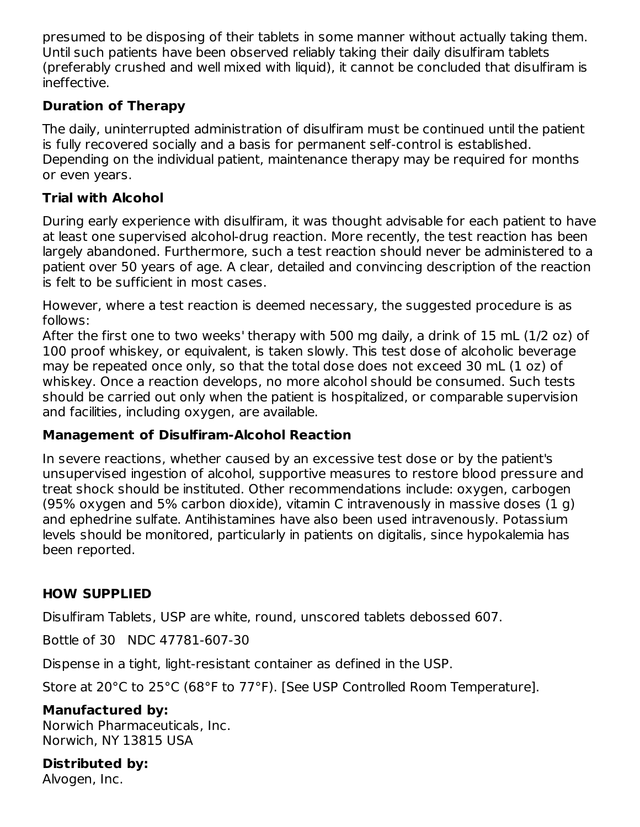presumed to be disposing of their tablets in some manner without actually taking them. Until such patients have been observed reliably taking their daily disulfiram tablets (preferably crushed and well mixed with liquid), it cannot be concluded that disulfiram is ineffective.

# **Duration of Therapy**

The daily, uninterrupted administration of disulfiram must be continued until the patient is fully recovered socially and a basis for permanent self-control is established. Depending on the individual patient, maintenance therapy may be required for months or even years.

# **Trial with Alcohol**

During early experience with disulfiram, it was thought advisable for each patient to have at least one supervised alcohol-drug reaction. More recently, the test reaction has been largely abandoned. Furthermore, such a test reaction should never be administered to a patient over 50 years of age. A clear, detailed and convincing description of the reaction is felt to be sufficient in most cases.

However, where a test reaction is deemed necessary, the suggested procedure is as follows:

After the first one to two weeks' therapy with 500 mg daily, a drink of 15 mL (1/2 oz) of 100 proof whiskey, or equivalent, is taken slowly. This test dose of alcoholic beverage may be repeated once only, so that the total dose does not exceed 30 mL (1 oz) of whiskey. Once a reaction develops, no more alcohol should be consumed. Such tests should be carried out only when the patient is hospitalized, or comparable supervision and facilities, including oxygen, are available.

# **Management of Disulfiram-Alcohol Reaction**

In severe reactions, whether caused by an excessive test dose or by the patient's unsupervised ingestion of alcohol, supportive measures to restore blood pressure and treat shock should be instituted. Other recommendations include: oxygen, carbogen (95% oxygen and 5% carbon dioxide), vitamin C intravenously in massive doses (1 g) and ephedrine sulfate. Antihistamines have also been used intravenously. Potassium levels should be monitored, particularly in patients on digitalis, since hypokalemia has been reported.

# **HOW SUPPLIED**

Disulfiram Tablets, USP are white, round, unscored tablets debossed 607.

Bottle of 30 NDC 47781-607-30

Dispense in a tight, light-resistant container as defined in the USP.

Store at 20°C to 25°C (68°F to 77°F). [See USP Controlled Room Temperature].

# **Manufactured by:**

Norwich Pharmaceuticals, Inc. Norwich, NY 13815 USA

**Distributed by:** Alvogen, Inc.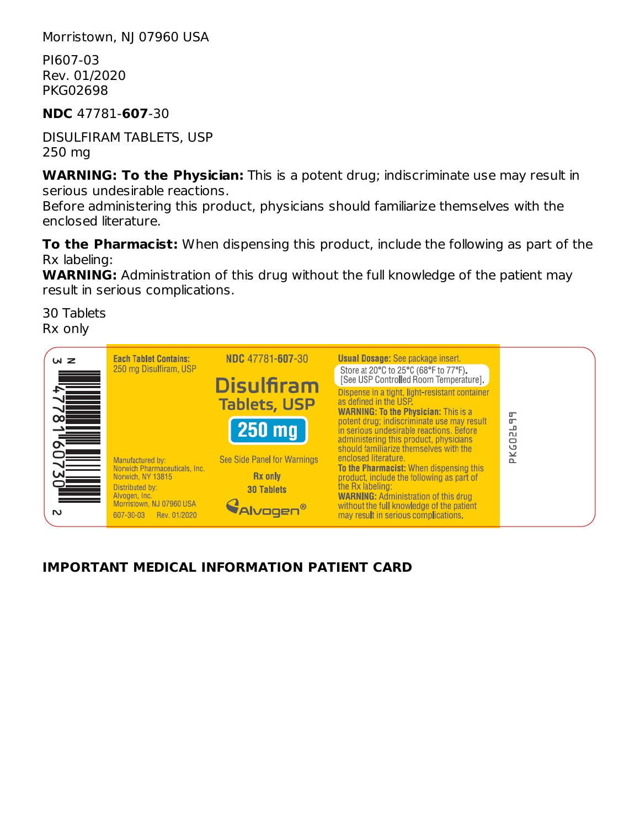Morristown, NJ 07960 USA

PI607-03 Rev. 01/2020 PKG02698

#### **NDC** 47781-**607**-30

DISULFIRAM TABLETS, USP 250 mg

**WARNING: To the Physician:** This is a potent drug; indiscriminate use may result in serious undesirable reactions.

Before administering this product, physicians should familiarize themselves with the enclosed literature.

**To the Pharmacist:** When dispensing this product, include the following as part of the Rx labeling:

**WARNING:** Administration of this drug without the full knowledge of the patient may result in serious complications.

30 Tablets Rx only



# **IMPORTANT MEDICAL INFORMATION PATIENT CARD**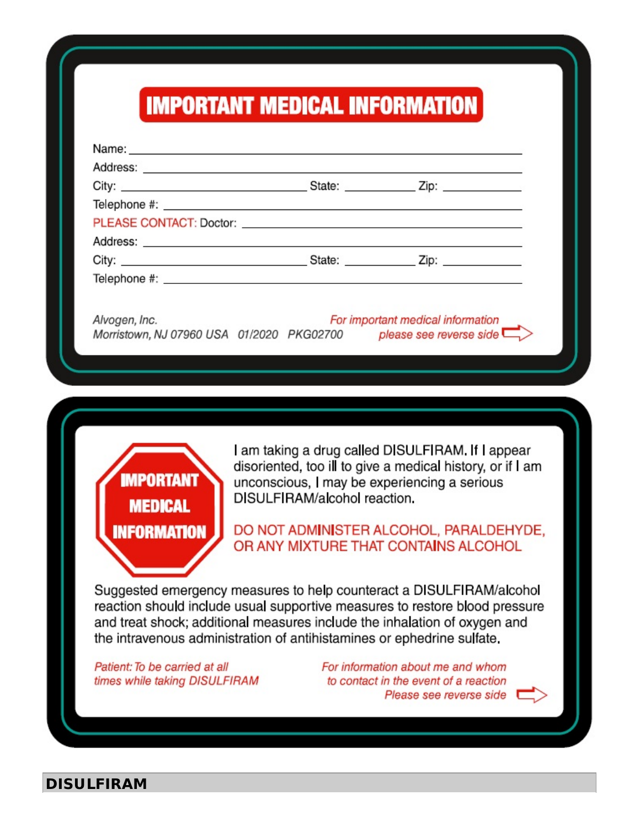# **IMPORTANT MEDICAL INFORMATION**

| Alvogen, Inc.                                                     | For important medical information |
|-------------------------------------------------------------------|-----------------------------------|
| Morristown, NJ 07960 USA 01/2020 PKG02700 please see reverse side |                                   |



I am taking a drug called DISULFIRAM. If I appear disoriented, too ill to give a medical history, or if I am unconscious, I may be experiencing a serious DISULFIRAM/alcohol reaction.

DO NOT ADMINISTER ALCOHOL, PARALDEHYDE, OR ANY MIXTURE THAT CONTAINS ALCOHOL

Suggested emergency measures to help counteract a DISULFIRAM/alcohol reaction should include usual supportive measures to restore blood pressure and treat shock; additional measures include the inhalation of oxygen and the intravenous administration of antihistamines or ephedrine sulfate.

Patient: To be carried at all times while taking DISULFIRAM

For information about me and whom to contact in the event of a reaction Please see reverse side

**DISULFIRAM**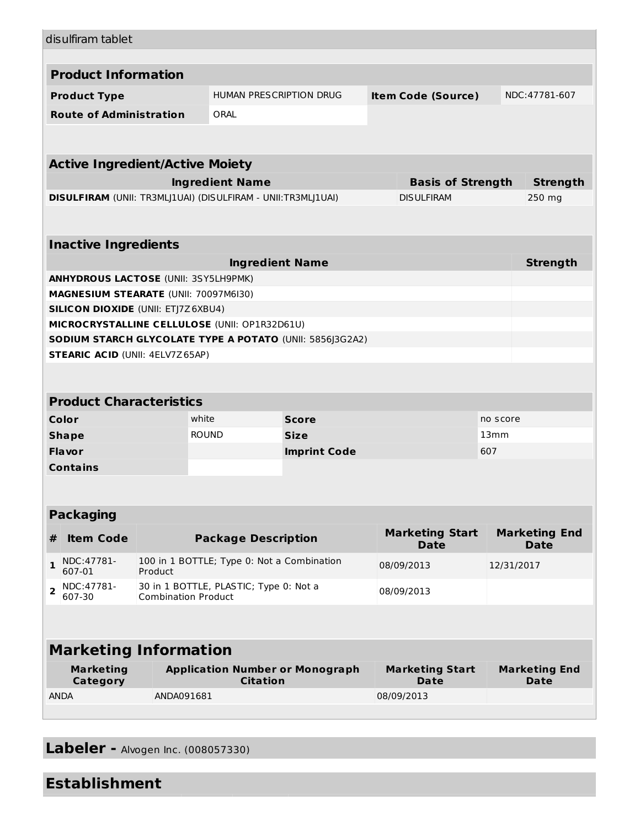| disulfiram tablet                                        |                                             |                                                                      |                                                                     |                           |            |                                       |                |                                     |  |
|----------------------------------------------------------|---------------------------------------------|----------------------------------------------------------------------|---------------------------------------------------------------------|---------------------------|------------|---------------------------------------|----------------|-------------------------------------|--|
| <b>Product Information</b>                               |                                             |                                                                      |                                                                     |                           |            |                                       |                |                                     |  |
| <b>Product Type</b>                                      |                                             |                                                                      | HUMAN PRESCRIPTION DRUG                                             | <b>Item Code (Source)</b> |            |                                       | NDC: 47781-607 |                                     |  |
|                                                          | <b>Route of Administration</b>              |                                                                      | ORAL                                                                |                           |            |                                       |                |                                     |  |
|                                                          |                                             |                                                                      |                                                                     |                           |            |                                       |                |                                     |  |
|                                                          | <b>Active Ingredient/Active Moiety</b>      |                                                                      |                                                                     |                           |            |                                       |                |                                     |  |
|                                                          |                                             |                                                                      | <b>Ingredient Name</b>                                              |                           |            | <b>Basis of Strength</b>              |                | <b>Strength</b>                     |  |
|                                                          |                                             |                                                                      | <b>DISULFIRAM</b> (UNII: TR3MLJ1UAI) (DISULFIRAM - UNII:TR3MLJ1UAI) |                           |            | <b>DISULFIRAM</b>                     |                | 250 mg                              |  |
|                                                          |                                             |                                                                      |                                                                     |                           |            |                                       |                |                                     |  |
|                                                          | <b>Inactive Ingredients</b>                 |                                                                      |                                                                     |                           |            |                                       |                |                                     |  |
|                                                          |                                             |                                                                      | <b>Ingredient Name</b>                                              |                           |            |                                       |                | <b>Strength</b>                     |  |
|                                                          | <b>ANHYDROUS LACTOSE (UNII: 3SY5LH9PMK)</b> |                                                                      |                                                                     |                           |            |                                       |                |                                     |  |
|                                                          | MAGNESIUM STEARATE (UNII: 70097M6I30)       |                                                                      |                                                                     |                           |            |                                       |                |                                     |  |
| <b>SILICON DIOXIDE (UNII: ETJ7Z6XBU4)</b>                |                                             |                                                                      |                                                                     |                           |            |                                       |                |                                     |  |
|                                                          |                                             |                                                                      | MICROCRYSTALLINE CELLULOSE (UNII: OP1R32D61U)                       |                           |            |                                       |                |                                     |  |
| SODIUM STARCH GLYCOLATE TYPE A POTATO (UNII: 5856J3G2A2) |                                             |                                                                      |                                                                     |                           |            |                                       |                |                                     |  |
| <b>STEARIC ACID (UNII: 4ELV7Z65AP)</b>                   |                                             |                                                                      |                                                                     |                           |            |                                       |                |                                     |  |
|                                                          |                                             |                                                                      |                                                                     |                           |            |                                       |                |                                     |  |
| <b>Product Characteristics</b>                           |                                             |                                                                      |                                                                     |                           |            |                                       |                |                                     |  |
| Color<br>white                                           |                                             |                                                                      |                                                                     | <b>Score</b>              |            |                                       | no score       |                                     |  |
| <b>Shape</b>                                             |                                             | <b>ROUND</b>                                                         | <b>Size</b>                                                         |                           | 13mm       |                                       |                |                                     |  |
| <b>Flavor</b>                                            |                                             |                                                                      | <b>Imprint Code</b>                                                 |                           |            | 607                                   |                |                                     |  |
| <b>Contains</b>                                          |                                             |                                                                      |                                                                     |                           |            |                                       |                |                                     |  |
|                                                          |                                             |                                                                      |                                                                     |                           |            |                                       |                |                                     |  |
| <b>Packaging</b>                                         |                                             |                                                                      |                                                                     |                           |            |                                       |                |                                     |  |
| #                                                        | <b>Item Code</b>                            |                                                                      | <b>Package Description</b>                                          |                           |            | <b>Marketing Start</b><br><b>Date</b> |                | <b>Marketing End</b><br><b>Date</b> |  |
| 1                                                        | NDC: 47781-<br>607-01                       | 100 in 1 BOTTLE; Type 0: Not a Combination<br>Product                |                                                                     |                           | 08/09/2013 |                                       |                | 12/31/2017                          |  |
| $\overline{2}$                                           | NDC:47781-<br>607-30                        | 30 in 1 BOTTLE, PLASTIC; Type 0: Not a<br><b>Combination Product</b> |                                                                     |                           | 08/09/2013 |                                       |                |                                     |  |
|                                                          |                                             |                                                                      |                                                                     |                           |            |                                       |                |                                     |  |
| <b>Marketing Information</b>                             |                                             |                                                                      |                                                                     |                           |            |                                       |                |                                     |  |
|                                                          | <b>Marketing</b><br>Category                |                                                                      | <b>Application Number or Monograph</b><br><b>Citation</b>           |                           |            | <b>Marketing Start</b><br>Date        |                | <b>Marketing End</b><br>Date        |  |
|                                                          | <b>ANDA</b>                                 | ANDA091681                                                           |                                                                     |                           |            | 08/09/2013                            |                |                                     |  |
|                                                          |                                             |                                                                      |                                                                     |                           |            |                                       |                |                                     |  |

**Labeler -** Alvogen Inc. (008057330)

# **Establishment**